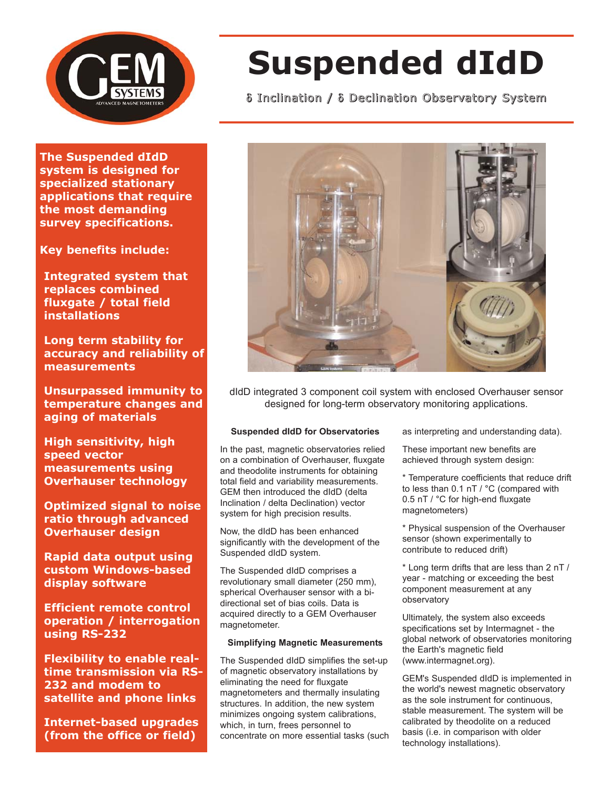

# **Suspended dIdD**

δ Inclination / δ Declination Observatory System

**The Suspended dIdD system is designed for specialized stationary applications that require the most demanding survey specifications.**

**Key benefits include:**

**Integrated system that replaces combined fluxgate / total field installations**

**Long term stability for accuracy and reliability of measurements**

**Unsurpassed immunity to temperature changes and aging of materials**

**High sensitivity, high speed vector measurements using Overhauser technology**

**Optimized signal to noise ratio through advanced Overhauser design**

**Rapid data output using custom Windows-based display software**

**Efficient remote control operation / interrogation using RS-232**

**Flexibility to enable realtime transmission via RS-232 and modem to satellite and phone links**

**Internet-based upgrades (from the office or field)**



dIdD integrated 3 component coil system with enclosed Overhauser sensor designed for long-term observatory monitoring applications.

## **Suspended dIdD for Observatories**

In the past, magnetic observatories relied on a combination of Overhauser, fluxgate and theodolite instruments for obtaining total field and variability measurements. GEM then introduced the dIdD (delta Inclination / delta Declination) vector system for high precision results.

Now, the dIdD has been enhanced significantly with the development of the Suspended dIdD system.

The Suspended dIdD comprises a revolutionary small diameter (250 mm), spherical Overhauser sensor with a bidirectional set of bias coils. Data is acquired directly to a GEM Overhauser magnetometer.

## **Simplifying Magnetic Measurements**

The Suspended dIdD simplifies the set-up of magnetic observatory installations by eliminating the need for fluxgate magnetometers and thermally insulating structures. In addition, the new system minimizes ongoing system calibrations, which, in turn, frees personnel to concentrate on more essential tasks (such as interpreting and understanding data).

These important new benefits are achieved through system design:

\* Temperature coefficients that reduce drift to less than 0.1 nT / °C (compared with 0.5 nT / °C for high-end fluxgate magnetometers)

\* Physical suspension of the Overhauser sensor (shown experimentally to contribute to reduced drift)

\* Long term drifts that are less than 2 nT / year - matching or exceeding the best component measurement at any observatory

Ultimately, the system also exceeds specifications set by Intermagnet - the global network of observatories monitoring the Earth's magnetic field (www.intermagnet.org).

GEM's Suspended dIdD is implemented in the world's newest magnetic observatory as the sole instrument for continuous, stable measurement. The system will be calibrated by theodolite on a reduced basis (i.e. in comparison with older technology installations).